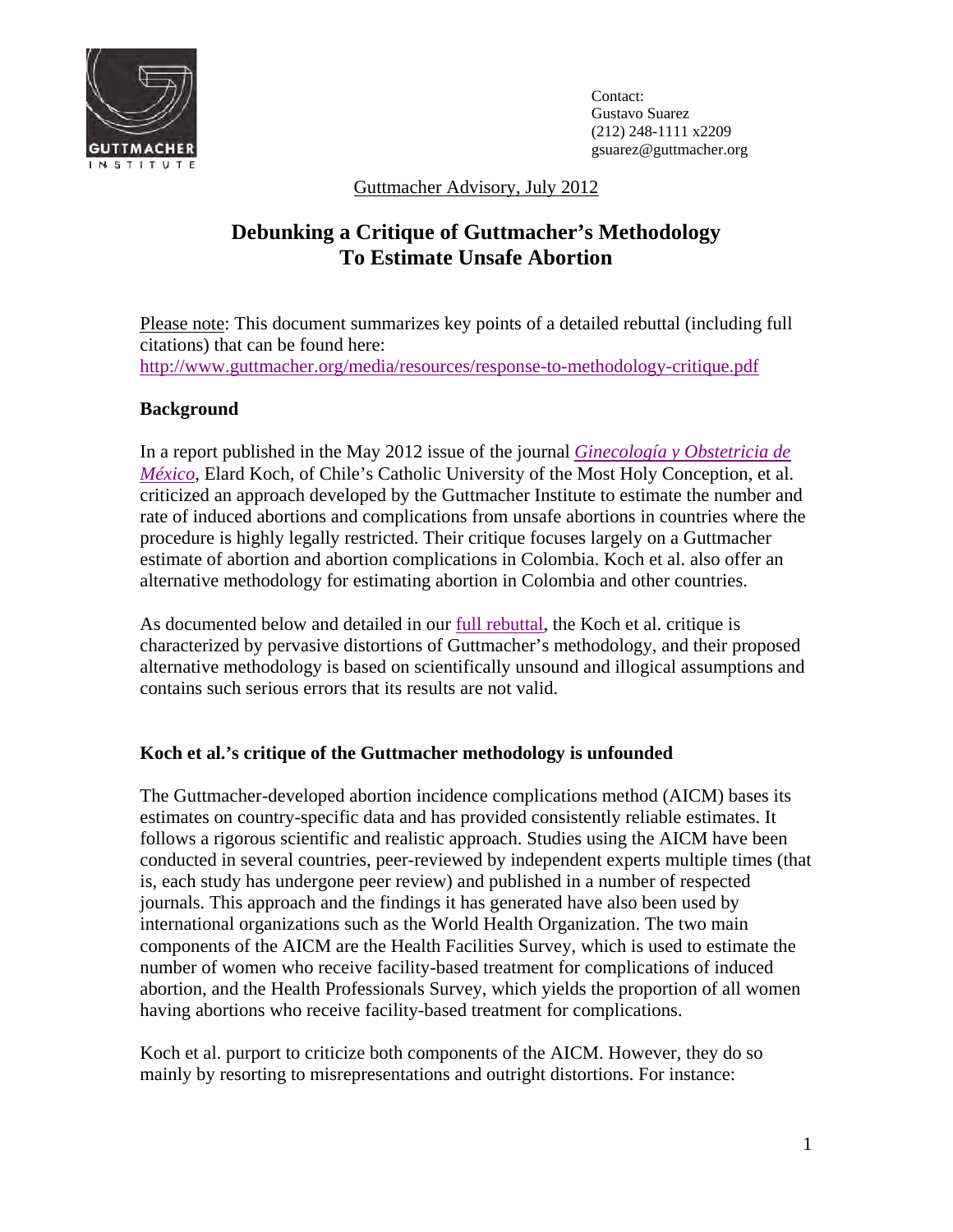

Contact: Gustavo Suarez (212) 248-1111 x2209 gsuarez@guttmacher.org

Guttmacher Advisory, July 2012

# **Debunking a Critique of Guttmacher's Methodology To Estimate Unsafe Abortion**

Please note: This document summarizes key points of a detailed rebuttal (including full citations) that can be found here: http://www.guttmacher.org/media/resources/response-to-methodology-critique.pdf

## **Background**

In a report published in the May 2012 issue of the journal *[Ginecología y Obstetricia de](http://nietoeditores.com.mx/ginecologia-y-obstetricia-de-mexico/5/4883-sobrestimacion-del-aborto-inducido-en-colombia-y-otros-paises-latinoamericanos.html)  México*, Elard Koch, of Chile's Catholic University of the Most Holy Conception, et al. criticized an approach developed by the Guttmacher Institute to estimate the number and rate of induced abortions and complications from unsafe abortions in countries where the procedure is highly legally restricted. Their critique focuses largely on a Guttmacher estimate of abortion and abortion complications in Colombia. Koch et al. also offer an alternative methodology for estimating abortion in Colombia and other countries.

As documented below and detailed in o[ur full rebuttal, t](http://www.guttmacher.org/media/resources/response-to-methodology-critique.pdf)he Koch et al. critique is characterized by pervasive distortions of Guttmacher's methodology, and their proposed alternative methodology is based on scientifically unsound and illogical assumptions and contains such serious errors that its results are not valid.

### **Koch et al.'s critique of the Guttmacher methodology is unfounded**

The Guttmacher-developed abortion incidence complications method (AICM) bases its estimates on country-specific data and has provided consistently reliable estimates. It follows a rigorous scientific and realistic approach. Studies using the AICM have been conducted in several countries, peer-reviewed by independent experts multiple times (that is, each study has undergone peer review) and published in a number of respected journals. This approach and the findings it has generated have also been used by international organizations such as the World Health Organization. The two main components of the AICM are the Health Facilities Survey, which is used to estimate the number of women who receive facility-based treatment for complications of induced abortion, and the Health Professionals Survey, which yields the proportion of all women having abortions who receive facility-based treatment for complications.

Koch et al. purport to criticize both components of the AICM. However, they do so mainly by resorting to misrepresentations and outright distortions. For instance: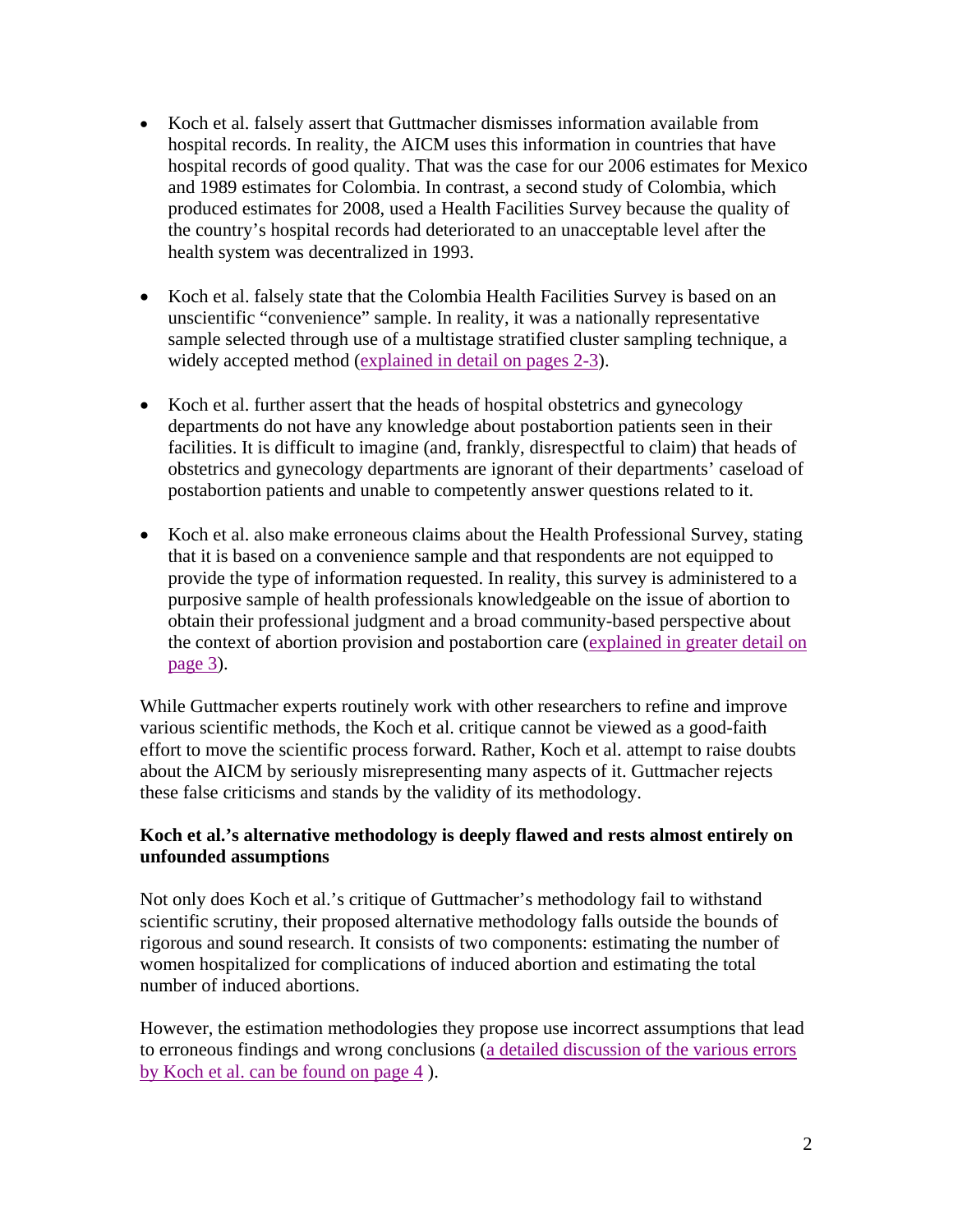- Koch et al. falsely assert that Guttmacher dismisses information available from hospital records. In reality, the AICM uses this information in countries that have hospital records of good quality. That was the case for our 2006 estimates for Mexico and 1989 estimates for Colombia. In contrast, a second study of Colombia, which produced estimates for 2008, used a Health Facilities Survey because the quality of the country's hospital records had deteriorated to an unacceptable level after the health system was decentralized in 1993.
- Koch et al. falsely state that the Colombia Health Facilities Survey is based on an unscientific "convenience" sample. In reality, it was a nationally representative sample selected through use of a multistage stratified cluster sampling technique, a widely accepted metho[d \(explained in detail on pages 2-3\).](http://www.guttmacher.org/media/resources/response-to-methodology-critique.pdf)
- Koch et al. further assert that the heads of hospital obstetrics and gynecology departments do not have any knowledge about postabortion patients seen in their facilities. It is difficult to imagine (and, frankly, disrespectful to claim) that heads of obstetrics and gynecology departments are ignorant of their departments' caseload of postabortion patients and unable to competently answer questions related to it.
- Koch et al. also make erroneous claims about the Health Professional Survey, stating that it is based on a convenience sample and that respondents are not equipped to provide the type of information requested. In reality, this survey is administered to a purposive sample of health professionals knowledgeable on the issue of abortion to obtain their professional judgment and a broad community-based perspective about [the context of abortion provision and postabortion care \(explained in greater detail on](http://www.guttmacher.org/media/resources/response-to-methodology-critique.pdf)  page 3).

While Guttmacher experts routinely work with other researchers to refine and improve various scientific methods, the Koch et al. critique cannot be viewed as a good-faith effort to move the scientific process forward. Rather, Koch et al. attempt to raise doubts about the AICM by seriously misrepresenting many aspects of it. Guttmacher rejects these false criticisms and stands by the validity of its methodology.

### **Koch et al.'s alternative methodology is deeply flawed and rests almost entirely on unfounded assumptions**

Not only does Koch et al.'s critique of Guttmacher's methodology fail to withstand scientific scrutiny, their proposed alternative methodology falls outside the bounds of rigorous and sound research. It consists of two components: estimating the number of women hospitalized for complications of induced abortion and estimating the total number of induced abortions.

However, the estimation methodologies they propose use incorrect assumptions that lead [to erroneous findings and wrong conclusions \(a detailed discussion of the various errors](http://www.guttmacher.org/media/resources/response-to-methodology-critique.pdf)  by Koch et al. can be found on page 4 ).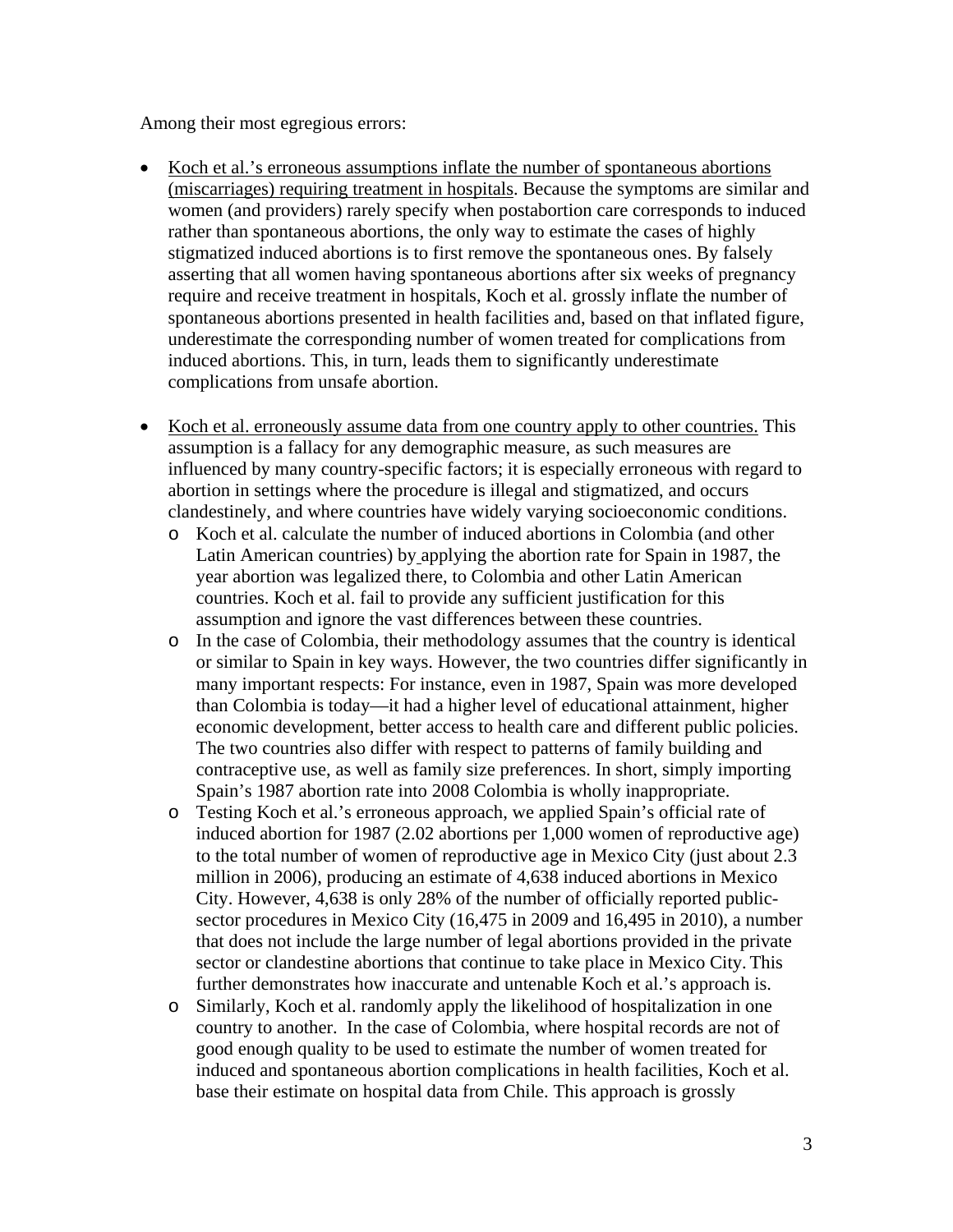Among their most egregious errors:

- Koch et al.'s erroneous assumptions inflate the number of spontaneous abortions (miscarriages) requiring treatment in hospitals. Because the symptoms are similar and women (and providers) rarely specify when postabortion care corresponds to induced rather than spontaneous abortions, the only way to estimate the cases of highly stigmatized induced abortions is to first remove the spontaneous ones. By falsely asserting that all women having spontaneous abortions after six weeks of pregnancy require and receive treatment in hospitals, Koch et al. grossly inflate the number of spontaneous abortions presented in health facilities and, based on that inflated figure, underestimate the corresponding number of women treated for complications from induced abortions. This, in turn, leads them to significantly underestimate complications from unsafe abortion.
- Koch et al. erroneously assume data from one country apply to other countries. This assumption is a fallacy for any demographic measure, as such measures are influenced by many country-specific factors; it is especially erroneous with regard to abortion in settings where the procedure is illegal and stigmatized, and occurs clandestinely, and where countries have widely varying socioeconomic conditions.
	- o Koch et al. calculate the number of induced abortions in Colombia (and other Latin American countries) by applying the abortion rate for Spain in 1987, the year abortion was legalized there, to Colombia and other Latin American countries. Koch et al. fail to provide any sufficient justification for this assumption and ignore the vast differences between these countries.
	- o In the case of Colombia, their methodology assumes that the country is identical or similar to Spain in key ways. However, the two countries differ significantly in many important respects: For instance, even in 1987, Spain was more developed than Colombia is today—it had a higher level of educational attainment, higher economic development, better access to health care and different public policies. The two countries also differ with respect to patterns of family building and contraceptive use, as well as family size preferences. In short, simply importing Spain's 1987 abortion rate into 2008 Colombia is wholly inappropriate.
	- o Testing Koch et al.'s erroneous approach, we applied Spain's official rate of induced abortion for 1987 (2.02 abortions per 1,000 women of reproductive age) to the total number of women of reproductive age in Mexico City (just about 2.3 million in 2006), producing an estimate of 4,638 induced abortions in Mexico City. However, 4,638 is only 28% of the number of officially reported publicsector procedures in Mexico City (16,475 in 2009 and 16,495 in 2010), a number that does not include the large number of legal abortions provided in the private sector or clandestine abortions that continue to take place in Mexico City. This further demonstrates how inaccurate and untenable Koch et al.'s approach is.
	- o Similarly, Koch et al. randomly apply the likelihood of hospitalization in one country to another. In the case of Colombia, where hospital records are not of good enough quality to be used to estimate the number of women treated for induced and spontaneous abortion complications in health facilities, Koch et al. base their estimate on hospital data from Chile. This approach is grossly